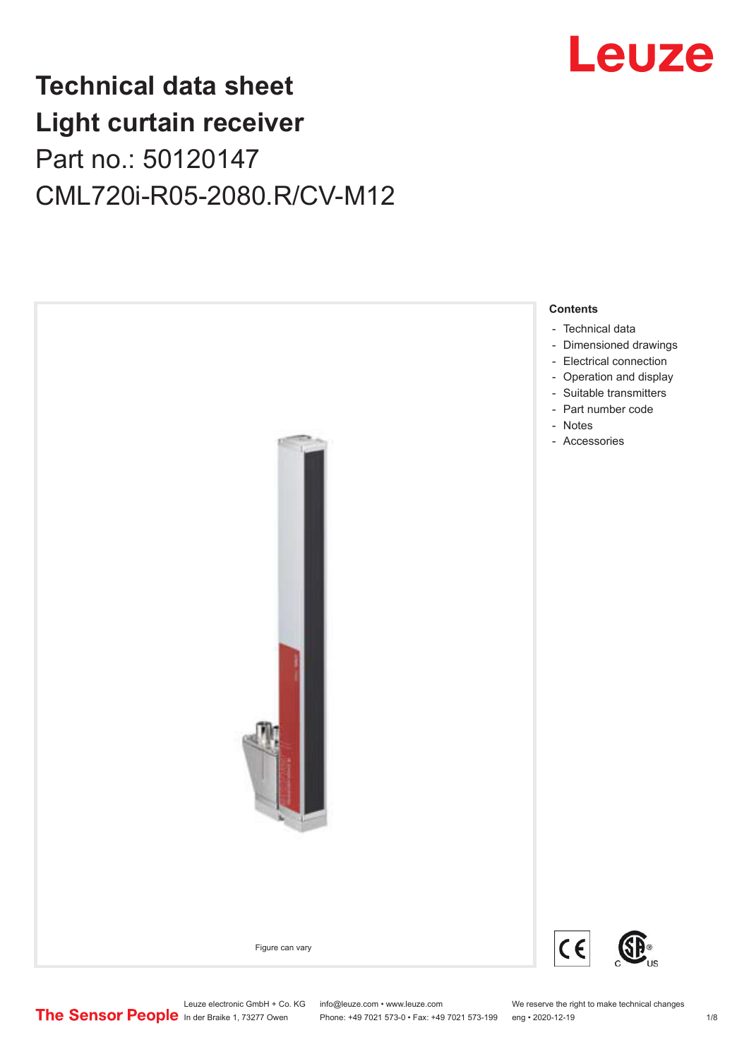

## **Technical data sheet Light curtain receiver** Part no.: 50120147 CML720i-R05-2080.R/CV-M12



Leuze electronic GmbH + Co. KG info@leuze.com • www.leuze.com We reserve the right to make technical changes<br>
The Sensor People in der Braike 1, 73277 Owen Phone: +49 7021 573-0 • Fax: +49 7021 573-199 eng • 2020-12-19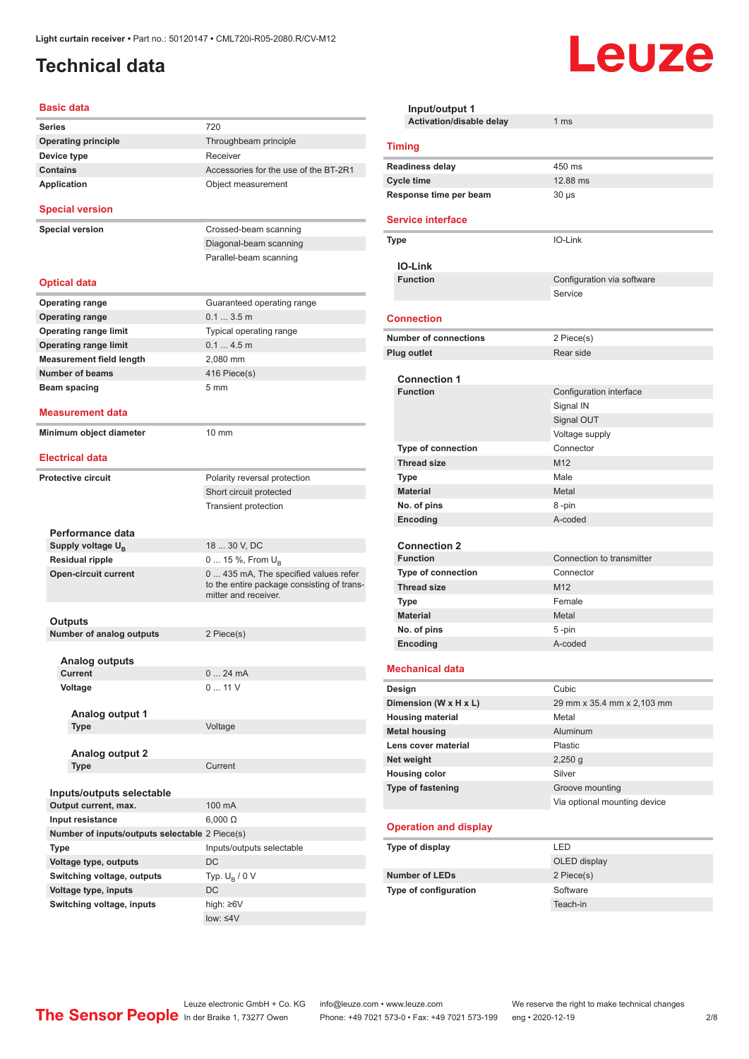## <span id="page-1-0"></span>**Technical data**

#### **Basic data**

| <b>Series</b>                                  | 720                                                                                                        |
|------------------------------------------------|------------------------------------------------------------------------------------------------------------|
| <b>Operating principle</b>                     | Throughbeam principle                                                                                      |
| Device type                                    | Receiver                                                                                                   |
| <b>Contains</b>                                | Accessories for the use of the BT-2R1                                                                      |
| <b>Application</b>                             | Object measurement                                                                                         |
| <b>Special version</b>                         |                                                                                                            |
| <b>Special version</b>                         | Crossed-beam scanning                                                                                      |
|                                                | Diagonal-beam scanning                                                                                     |
|                                                | Parallel-beam scanning                                                                                     |
|                                                |                                                                                                            |
| <b>Optical data</b>                            |                                                                                                            |
| <b>Operating range</b>                         | Guaranteed operating range                                                                                 |
| <b>Operating range</b>                         | $0.13.5$ m                                                                                                 |
| <b>Operating range limit</b>                   | Typical operating range                                                                                    |
| <b>Operating range limit</b>                   | 0.14.5m                                                                                                    |
| <b>Measurement field length</b>                | 2,080 mm                                                                                                   |
| <b>Number of beams</b>                         | 416 Piece(s)                                                                                               |
| Beam spacing                                   | 5 <sub>mm</sub>                                                                                            |
|                                                |                                                                                                            |
| Measurement data                               |                                                                                                            |
| Minimum object diameter                        | 10 mm                                                                                                      |
|                                                |                                                                                                            |
| <b>Electrical data</b>                         |                                                                                                            |
| <b>Protective circuit</b>                      | Polarity reversal protection                                                                               |
|                                                | Short circuit protected                                                                                    |
|                                                | <b>Transient protection</b>                                                                                |
|                                                |                                                                                                            |
| Performance data                               |                                                                                                            |
| Supply voltage U <sub>B</sub>                  | 18  30 V, DC                                                                                               |
| <b>Residual ripple</b>                         | 0  15 %, From $U_B$                                                                                        |
| <b>Open-circuit current</b>                    | 0 435 mA, The specified values refer<br>to the entire package consisting of trans-<br>mitter and receiver. |
|                                                |                                                                                                            |
| Outputs                                        |                                                                                                            |
| <b>Number of analog outputs</b>                | 2 Piece(s)                                                                                                 |
| Analog outputs                                 |                                                                                                            |
| Current                                        | 024mA                                                                                                      |
| Voltage                                        | 011V                                                                                                       |
|                                                |                                                                                                            |
| Analog output 1                                |                                                                                                            |
| Type                                           | Voltage                                                                                                    |
|                                                |                                                                                                            |
| <b>Analog output 2</b>                         |                                                                                                            |
| Type                                           | Current                                                                                                    |
| Inputs/outputs selectable                      |                                                                                                            |
| Output current, max.                           | 100 mA                                                                                                     |
| Input resistance                               | $6,000 \Omega$                                                                                             |
| Number of inputs/outputs selectable 2 Piece(s) |                                                                                                            |
|                                                | Inputs/outputs selectable                                                                                  |
| Type                                           | DC                                                                                                         |
| Voltage type, outputs                          |                                                                                                            |
| Switching voltage, outputs                     | Typ. $U_B / 0 V$                                                                                           |
| Voltage type, inputs                           | DC                                                                                                         |
| Switching voltage, inputs                      | high: ≥6V                                                                                                  |
|                                                | $low: 4V$                                                                                                  |

| Input/output 1                                   |                              |
|--------------------------------------------------|------------------------------|
| Activation/disable delay                         | 1 <sub>ms</sub>              |
| <b>Timing</b>                                    |                              |
| <b>Readiness delay</b>                           | 450 ms                       |
| <b>Cycle time</b>                                | 12.88 ms                     |
| Response time per beam                           | $30 \mu s$                   |
| <b>Service interface</b>                         |                              |
| Type                                             | IO-Link                      |
| <b>IO-Link</b>                                   |                              |
| <b>Function</b>                                  | Configuration via software   |
|                                                  | Service                      |
| <b>Connection</b>                                |                              |
| <b>Number of connections</b>                     | 2 Piece(s)                   |
| <b>Plug outlet</b>                               | Rear side                    |
|                                                  |                              |
| <b>Connection 1</b><br><b>Function</b>           | Configuration interface      |
|                                                  | Signal IN                    |
|                                                  | Signal OUT                   |
|                                                  | Voltage supply               |
| Type of connection                               | Connector                    |
| <b>Thread size</b>                               | M12                          |
| <b>Type</b>                                      | Male                         |
| <b>Material</b>                                  | Metal                        |
| No. of pins                                      | 8-pin                        |
| Encoding                                         | A-coded                      |
|                                                  |                              |
| <b>Connection 2</b>                              |                              |
| <b>Function</b>                                  | Connection to transmitter    |
| Type of connection                               | Connector                    |
| <b>Thread size</b>                               | M <sub>12</sub><br>Female    |
| <b>Type</b><br><b>Material</b>                   | Metal                        |
| No. of pins                                      | 5-pin                        |
| Encoding                                         | A-coded                      |
|                                                  |                              |
| <b>Mechanical data</b>                           |                              |
| Design                                           | Cubic                        |
| Dimension (W x H x L)                            | 29 mm x 35.4 mm x 2,103 mm   |
| <b>Housing material</b>                          | Metal                        |
| <b>Metal housing</b>                             | Aluminum                     |
| Lens cover material                              | Plastic                      |
| Net weight                                       | $2,250$ g<br>Silver          |
| <b>Housing color</b><br><b>Type of fastening</b> | Groove mounting              |
|                                                  | Via optional mounting device |
| <b>Operation and display</b>                     |                              |
|                                                  |                              |
| Type of display                                  | LED                          |
| <b>Number of LEDs</b>                            | OLED display                 |
| Type of configuration                            | 2 Piece(s)<br>Software       |
|                                                  | Teach-in                     |
|                                                  |                              |

Leuze

Leuze electronic GmbH + Co. KG info@leuze.com • www.leuze.com We reserve the right to make technical changes ln der Braike 1, 73277 Owen Phone: +49 7021 573-0 • Fax: +49 7021 573-199 eng • 2020-12-19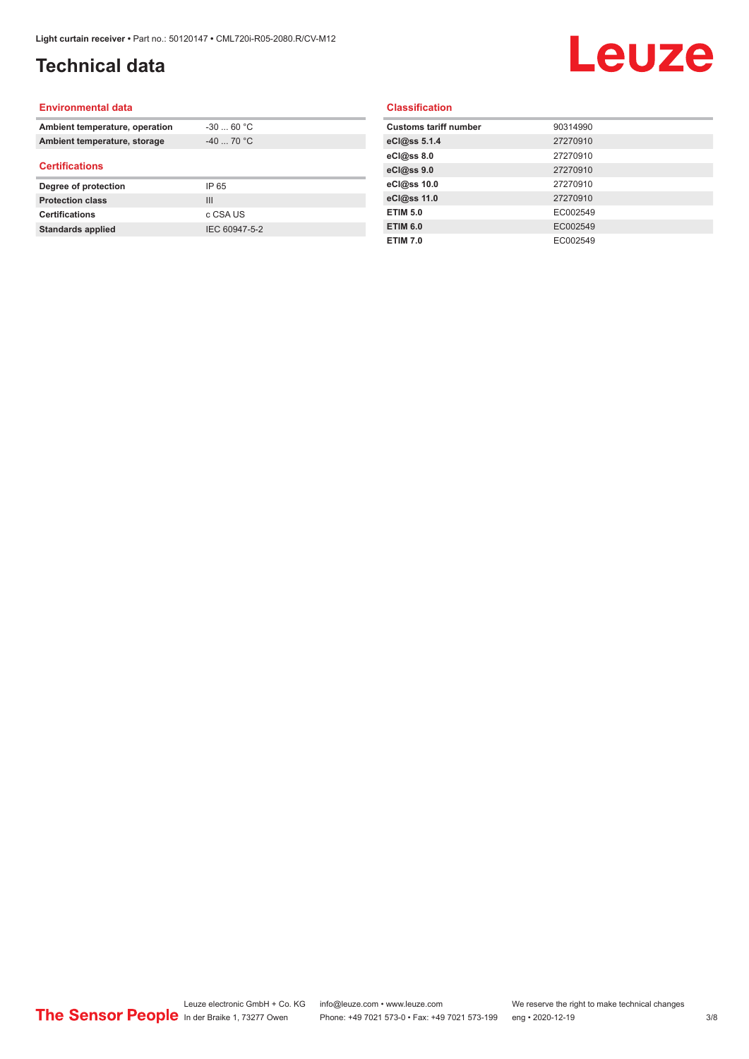## **Technical data**

# Leuze

#### **Environmental data**

| Ambient temperature, operation | $-30$ 60 °C |  |
|--------------------------------|-------------|--|
| Ambient temperature, storage   | $-40$ 70 °C |  |
| <b>Certifications</b>          |             |  |
|                                |             |  |
| Degree of protection           | IP 65       |  |
| <b>Protection class</b>        | Ш           |  |
| <b>Certifications</b>          | c CSA US    |  |

#### **Classification**

| <b>Customs tariff number</b> | 90314990 |
|------------------------------|----------|
| eCl@ss 5.1.4                 | 27270910 |
| eCl@ss 8.0                   | 27270910 |
| eCl@ss 9.0                   | 27270910 |
| eCl@ss 10.0                  | 27270910 |
| eCl@ss 11.0                  | 27270910 |
| <b>ETIM 5.0</b>              | EC002549 |
| <b>ETIM 6.0</b>              | EC002549 |
| <b>ETIM 7.0</b>              | EC002549 |
|                              |          |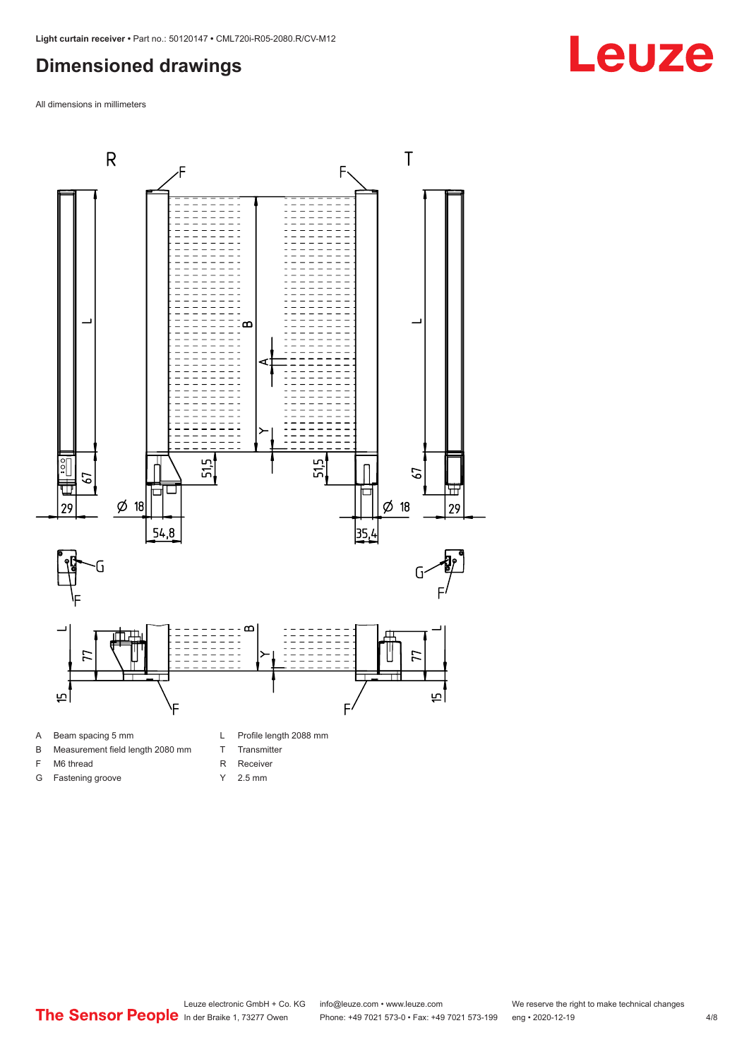### <span id="page-3-0"></span>**Dimensioned drawings**

All dimensions in millimeters



A Beam spacing 5 mm

G Fastening groove

- B Measurement field length 2080 mm
- F M6 thread
- R Receiver
	- Y 2.5 mm

T Transmitter

Leuze electronic GmbH + Co. KG info@leuze.com • www.leuze.com We reserve the right to make technical changes<br>
The Sensor People in der Braike 1, 73277 Owen Phone: +49 7021 573-0 • Fax: +49 7021 573-199 eng • 2020-12-19 Phone: +49 7021 573-0 • Fax: +49 7021 573-199 eng • 2020-12-19

# **Leuze**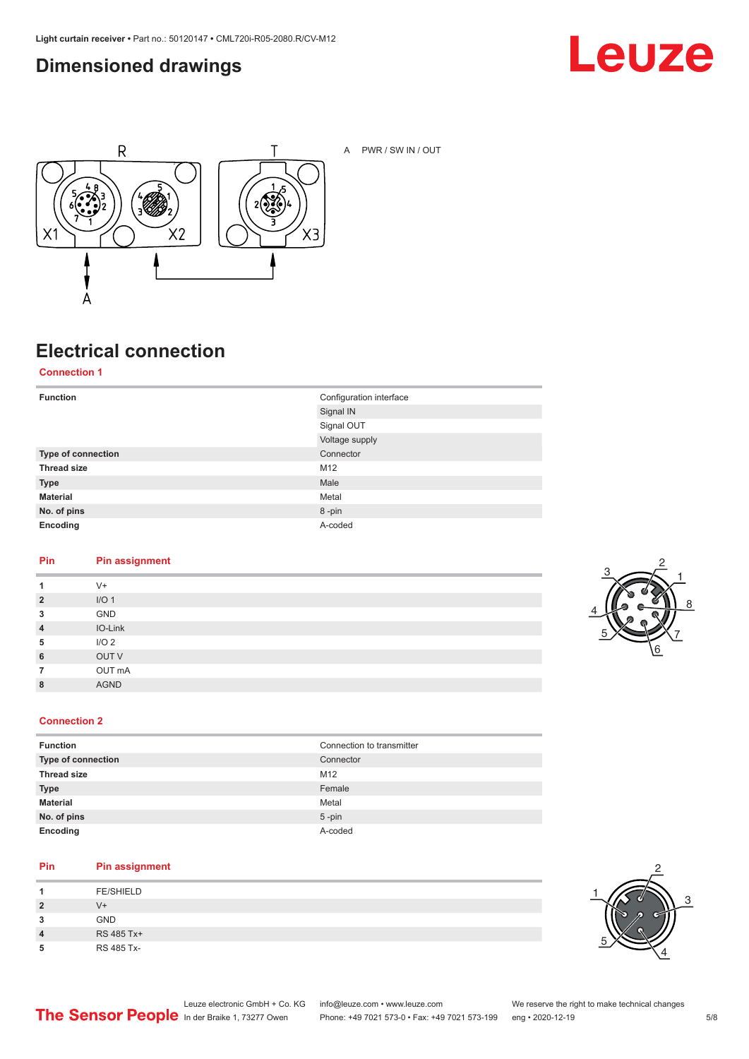### <span id="page-4-0"></span>**Dimensioned drawings**





A PWR / SW IN / OUT

## **Electrical connection**

**Connection 1**

| <b>Function</b>    | Configuration interface<br>Signal IN |
|--------------------|--------------------------------------|
|                    | Signal OUT                           |
|                    | Voltage supply                       |
| Type of connection | Connector                            |
| <b>Thread size</b> | M12                                  |
| <b>Type</b>        | Male                                 |
| <b>Material</b>    | Metal                                |
| No. of pins        | 8-pin                                |
| Encoding           | A-coded                              |

#### **Pin Pin assignment**

| 1              | $V +$            |
|----------------|------------------|
| $\overline{2}$ | I/O <sub>1</sub> |
| 3              | GND              |
| $\overline{4}$ | IO-Link          |
| 5              | I/O <sub>2</sub> |
| 6              | OUT V            |
| $\overline{7}$ | OUT mA           |
| 8              | <b>AGND</b>      |
|                |                  |



#### **Connection 2**

| <b>Function</b>    | Connection to transmitter |
|--------------------|---------------------------|
| Type of connection | Connector                 |
| <b>Thread size</b> | M12                       |
| <b>Type</b>        | Female                    |
| <b>Material</b>    | Metal                     |
| No. of pins        | $5 - pin$                 |
| Encoding           | A-coded                   |

#### **Pin Pin assignment**

| л              | <b>FE/SHIELD</b> |
|----------------|------------------|
| $\overline{2}$ | V+               |
| 3              | <b>GND</b>       |
| 4              | RS 485 Tx+       |
| 5              | RS 485 Tx-       |

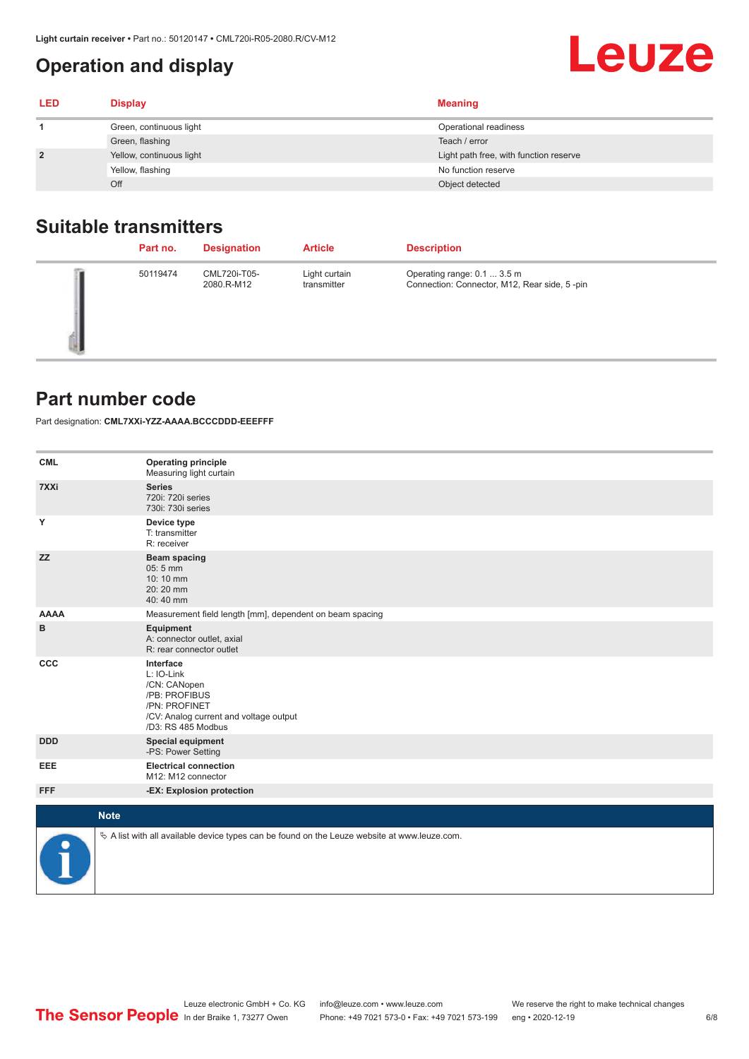### <span id="page-5-0"></span>**Operation and display**

| <b>LED</b>     | <b>Display</b>           | <b>Meaning</b>                         |
|----------------|--------------------------|----------------------------------------|
|                | Green, continuous light  | Operational readiness                  |
|                | Green, flashing          | Teach / error                          |
| $\overline{2}$ | Yellow, continuous light | Light path free, with function reserve |
|                | Yellow, flashing         | No function reserve                    |
|                | Off                      | Object detected                        |

#### **Suitable transmitters**

| Part no. | <b>Designation</b>         | <b>Article</b>               | <b>Description</b>                                                          |
|----------|----------------------------|------------------------------|-----------------------------------------------------------------------------|
| 50119474 | CML720i-T05-<br>2080.R-M12 | Light curtain<br>transmitter | Operating range: 0.1  3.5 m<br>Connection: Connector, M12, Rear side, 5-pin |

#### **Part number code**

Part designation: **CML7XXi-YZZ-AAAA.BCCCDDD-EEEFFF**

| <b>CML</b>  | <b>Operating principle</b><br>Measuring light curtain                                                                                     |
|-------------|-------------------------------------------------------------------------------------------------------------------------------------------|
| 7XXi        | <b>Series</b><br>720i: 720i series<br>730i: 730i series                                                                                   |
| Y           | Device type<br>T: transmitter<br>R: receiver                                                                                              |
| <b>ZZ</b>   | <b>Beam spacing</b><br>05:5 mm<br>10:10 mm<br>20:20 mm<br>40:40 mm                                                                        |
| <b>AAAA</b> | Measurement field length [mm], dependent on beam spacing                                                                                  |
| в           | Equipment<br>A: connector outlet, axial<br>R: rear connector outlet                                                                       |
| CCC         | Interface<br>L: IO-Link<br>/CN: CANopen<br>/PB: PROFIBUS<br>/PN: PROFINET<br>/CV: Analog current and voltage output<br>/D3: RS 485 Modbus |
| <b>DDD</b>  | <b>Special equipment</b><br>-PS: Power Setting                                                                                            |
| EEE         | <b>Electrical connection</b><br>M12: M12 connector                                                                                        |
| <b>FFF</b>  | -EX: Explosion protection                                                                                                                 |
|             | <b>Note</b>                                                                                                                               |
| ₽           | $\&$ A list with all available device types can be found on the Leuze website at www.leuze.com.                                           |

Leuze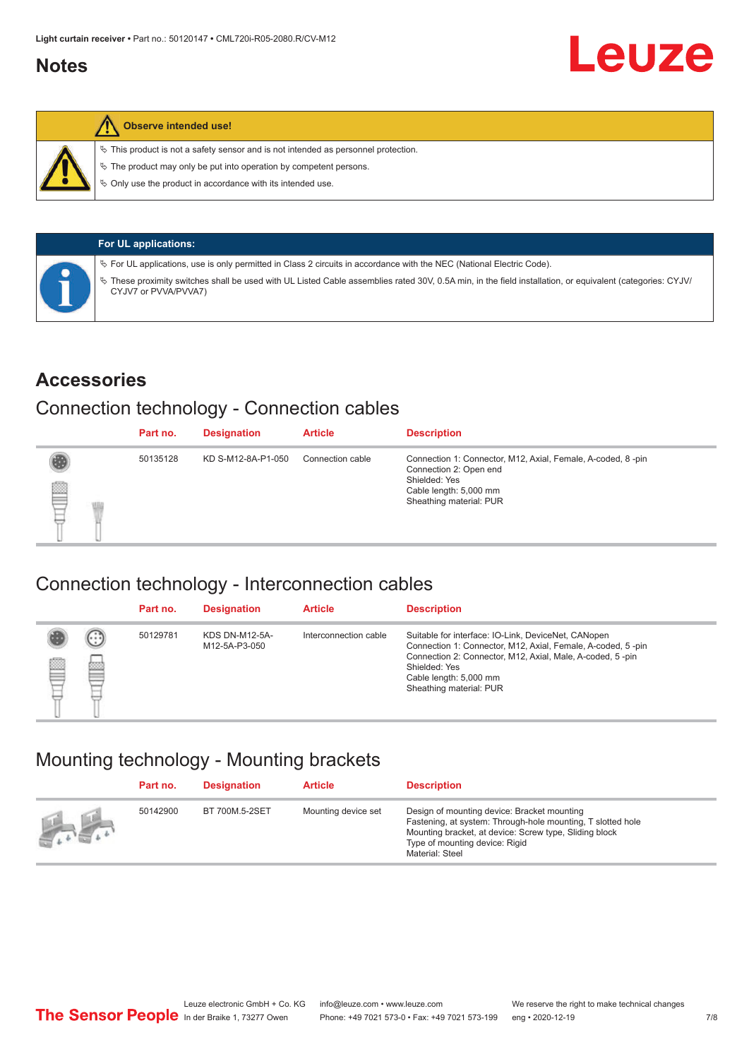#### <span id="page-6-0"></span>**Notes**



#### **Observe intended use!**

 $\%$  This product is not a safety sensor and is not intended as personnel protection.

 $\%$  The product may only be put into operation by competent persons.

 $\%$  Only use the product in accordance with its intended use.

| <b>For UL applications:</b>                                                                                                                                                       |
|-----------------------------------------------------------------------------------------------------------------------------------------------------------------------------------|
| $\%$ For UL applications, use is only permitted in Class 2 circuits in accordance with the NEC (National Electric Code).                                                          |
| V These proximity switches shall be used with UL Listed Cable assemblies rated 30V, 0.5A min, in the field installation, or equivalent (categories: CYJV/<br>CYJV7 or PVVA/PVVA7) |

#### **Accessories**

#### Connection technology - Connection cables

|   | Part no. | <b>Designation</b> | <b>Article</b>   | <b>Description</b>                                                                                                                                          |
|---|----------|--------------------|------------------|-------------------------------------------------------------------------------------------------------------------------------------------------------------|
| ₿ | 50135128 | KD S-M12-8A-P1-050 | Connection cable | Connection 1: Connector, M12, Axial, Female, A-coded, 8-pin<br>Connection 2: Open end<br>Shielded: Yes<br>Cable length: 5,000 mm<br>Sheathing material: PUR |

#### Connection technology - Interconnection cables

|   |                   | Part no. | <b>Designation</b>                     | <b>Article</b>        | <b>Description</b>                                                                                                                                                                                                                                    |
|---|-------------------|----------|----------------------------------------|-----------------------|-------------------------------------------------------------------------------------------------------------------------------------------------------------------------------------------------------------------------------------------------------|
| e | $(\cdot$ : :<br>Þ | 50129781 | <b>KDS DN-M12-5A-</b><br>M12-5A-P3-050 | Interconnection cable | Suitable for interface: IO-Link, DeviceNet, CANopen<br>Connection 1: Connector, M12, Axial, Female, A-coded, 5-pin<br>Connection 2: Connector, M12, Axial, Male, A-coded, 5-pin<br>Shielded: Yes<br>Cable length: 5,000 mm<br>Sheathing material: PUR |

#### Mounting technology - Mounting brackets

|                                               | Part no. | <b>Designation</b> | <b>Article</b>      | <b>Description</b>                                                                                                                                                                                                        |
|-----------------------------------------------|----------|--------------------|---------------------|---------------------------------------------------------------------------------------------------------------------------------------------------------------------------------------------------------------------------|
| $\frac{1}{2}$ , $\frac{1}{2}$ , $\frac{1}{2}$ | 50142900 | BT 700M.5-2SET     | Mounting device set | Design of mounting device: Bracket mounting<br>Fastening, at system: Through-hole mounting, T slotted hole<br>Mounting bracket, at device: Screw type, Sliding block<br>Type of mounting device: Rigid<br>Material: Steel |

Leuze